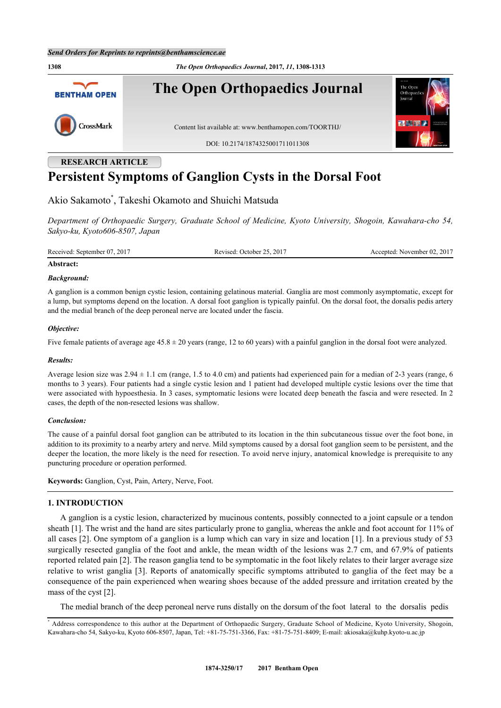**RESEARCH ARTICLE**

**1308** *The Open Orthopaedics Journal***, 2017,** *11***, 1308-1313 The Open Orthopaedics Journal BENTHAM OPEN** CrossMark Content list available at: [www.benthamopen.com/TOORTHJ/](http://www.benthamopen.com/TOORTHJ/) DOI: [10.2174/1874325001711011308](http://dx.doi.org/10.2174/1874325001711011308)

# **Persistent Symptoms of Ganglion Cysts in the Dorsal Foot**

Akio Sakamoto[\\*](#page-0-0) , Takeshi Okamoto and Shuichi Matsuda

*Department of Orthopaedic Surgery, Graduate School of Medicine, Kyoto University, Shogoin, Kawahara-cho 54, Sakyo-ku, Kyoto606-8507, Japan*

Received: September 07, 2017 Revised: October 25, 2017 Accepted: November 02, 2017

## **Abstract:**

#### *Background:*

A ganglion is a common benign cystic lesion, containing gelatinous material. Ganglia are most commonly asymptomatic, except for a lump, but symptoms depend on the location. A dorsal foot ganglion is typically painful. On the dorsal foot, the dorsalis pedis artery and the medial branch of the deep peroneal nerve are located under the fascia.

#### *Objective:*

Five female patients of average age  $45.8 \pm 20$  years (range, 12 to 60 years) with a painful ganglion in the dorsal foot were analyzed.

#### *Results:*

Average lesion size was 2.94 ± 1.1 cm (range, 1.5 to 4.0 cm) and patients had experienced pain for a median of 2-3 years (range, 6 months to 3 years). Four patients had a single cystic lesion and 1 patient had developed multiple cystic lesions over the time that were associated with hypoesthesia. In 3 cases, symptomatic lesions were located deep beneath the fascia and were resected. In 2 cases, the depth of the non-resected lesions was shallow.

#### *Conclusion:*

The cause of a painful dorsal foot ganglion can be attributed to its location in the thin subcutaneous tissue over the foot bone, in addition to its proximity to a nearby artery and nerve. Mild symptoms caused by a dorsal foot ganglion seem to be persistent, and the deeper the location, the more likely is the need for resection. To avoid nerve injury, anatomical knowledge is prerequisite to any puncturing procedure or operation performed.

**Keywords:** Ganglion, Cyst, Pain, Artery, Nerve, Foot.

## **1. INTRODUCTION**

A ganglion is a cystic lesion, characterized by mucinous contents, possibly connected to a joint capsule or a tendon sheath [\[1](#page-4-0)]. The wrist and the hand are sites particularly prone to ganglia, whereas the ankle and foot account for 11% of all cases [[2\]](#page-4-1). One symptom of a ganglion is a lump which can vary in size and location [[1\]](#page-4-0). In a previous study of 53 surgically resected ganglia of the foot and ankle, the mean width of the lesions was 2.7 cm, and 67.9% of patients reported related pain [[2\]](#page-4-1). The reason ganglia tend to be symptomatic in the foot likely relates to their larger average size relative to wrist ganglia [[3](#page-4-2)]. Reports of anatomically specific symptoms attributed to ganglia of the feet may be a consequence of the pain experienced when wearing shoes because of the added pressure and irritation created by the mass of the cyst [[2\]](#page-4-1).

The medial branch of the deep peroneal nerve runs distally on the dorsum of the foot lateral to the dorsalis pedis

<span id="page-0-0"></span><sup>\*</sup> Address correspondence to this author at the Department of Orthopaedic Surgery, Graduate School of Medicine, Kyoto University, Shogoin, Kawahara-cho 54, Sakyo-ku, Kyoto 606-8507, Japan, Tel: +81-75-751-3366, Fax: +81-75-751-8409; E-mail: [akiosaka@kuhp.kyoto-u.ac.jp](mailto:akiosaka@kuhp.kyoto-u.ac.jp)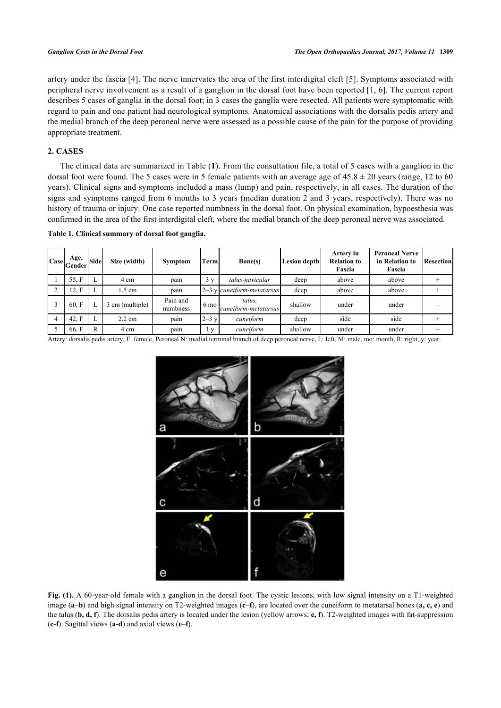artery under the fascia [[4\]](#page-4-3). The nerve innervates the area of the first interdigital cleft [[5\]](#page-4-4). Symptoms associated with peripheral nerve involvement as a result of a ganglion in the dorsal foot have been reported [\[1](#page-4-0), [6\]](#page-4-5). The current report describes 5 cases of ganglia in the dorsal foot; in 3 cases the ganglia were resected. All patients were symptomatic with regard to pain and one patient had neurological symptoms. Anatomical associations with the dorsalis pedis artery and the medial branch of the deep peroneal nerve were assessed as a possible cause of the pain for the purpose of providing appropriate treatment.

## **2. CASES**

The clinical data are summarized in Table (**[1](#page-1-0)**). From the consultation file, a total of 5 cases with a ganglion in the dorsal foot were found. The 5 cases were in 5 female patients with an average age of  $45.8 \pm 20$  years (range, 12 to 60) years). Clinical signs and symptoms included a mass (lump) and pain, respectively, in all cases. The duration of the signs and symptoms ranged from 6 months to 3 years (median duration 2 and 3 years, respectively). There was no history of trauma or injury. One case reported numbness in the dorsal foot. On physical examination, hypoesthesia was confirmed in the area of the first interdigital cleft, where the medial branch of the deep peroneal nerve was associated.

<span id="page-1-0"></span>

|  | Table 1. Clinical summary of dorsal foot ganglia. |  |  |
|--|---------------------------------------------------|--|--|
|  |                                                   |  |  |

| Age,<br>$ {\rm Case} _{\rm Gender}$ | <b>Side</b> | Size (width)     | <b>Symptom</b>       | Terml          | Bone(s)                                | Lesion depth | Artery in<br><b>Relation to</b><br>Fascia | <b>Peroneal Nerve</b><br>in Relation to<br>Fascia | <b>Resection</b> |
|-------------------------------------|-------------|------------------|----------------------|----------------|----------------------------------------|--------------|-------------------------------------------|---------------------------------------------------|------------------|
| 55.F                                | ⊷           | 4 cm             | pain                 | 3v             | talus-navicular                        | deep         | above                                     | above                                             |                  |
| 12, F                               | ⊷           | 1.5 cm           | pain                 |                | $ 2-3 \text{ y} $ cuneiform-metatarsus | deep         | above                                     | above                                             |                  |
| 60 F                                |             | 3 cm (multiple)  | Pain and<br>numbness | $6 \text{ mo}$ | talus.<br>cuneiform-metatarsus         | shallow      | under                                     | under                                             |                  |
| 42. F                               |             | $2.2 \text{ cm}$ | pain                 | $2-3$ y        | cuneiform                              | deep         | side                                      | side                                              |                  |
| 66.F                                | R           | 4 cm             | pain                 | V              | cuneiform                              | shallow      | under                                     | under                                             |                  |

<span id="page-1-1"></span>Artery: dorsalis pedis artery, F: female, Peroneal N: medial terminal branch of deep peroneal nerve, L: left, M: male, mo: month, R: right, y: year.



**Fig. (1).** A 60-year-old female with a ganglion in the dorsal foot. The cystic lesions, with low signal intensity on a T1-weighted image (**a–b**) and high signal intensity on T2-weighted images (**c–f**), are located over the cuneiform to metatarsal bones (**a, c, e**) and the talus (**b, d, f**). The dorsalis pedis artery is located under the lesion (yellow arrows; **e, f**). T2-weighted images with fat-suppression (**c-f**). Sagittal views (**a-d**) and axial views (**e–f**).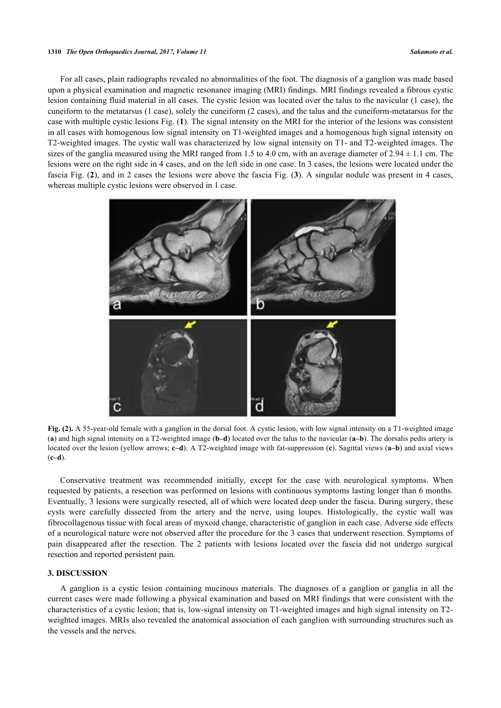#### **1310** *The Open Orthopaedics Journal, 2017, Volume 11 Sakamoto et al.*

For all cases, plain radiographs revealed no abnormalities of the foot. The diagnosis of a ganglion was made based upon a physical examination and magnetic resonance imaging (MRI) findings. MRI findings revealed a fibrous cystic lesion containing fluid material in all cases. The cystic lesion was located over the talus to the navicular (1 case), the cuneiform to the metatarsus (1 case), solely the cuneiform (2 cases), and the talus and the cuneiform-metatarsus for the case with multiple cystic lesions Fig. (**[1](#page-1-1)**). The signal intensity on the MRI for the interior of the lesions was consistent in all cases with homogenous low signal intensity on T1-weighted images and a homogenous high signal intensity on T2-weighted images. The cystic wall was characterized by low signal intensity on T1- and T2-weighted images. The sizes of the ganglia measured using the MRI ranged from 1.5 to 4.0 cm, with an average diameter of  $2.94 \pm 1.1$  cm. The lesions were on the right side in 4 cases, and on the left side in one case. In 3 cases, the lesions were located under the fascia Fig. (**[2](#page-2-0)**), and in 2 cases the lesions were above the fascia Fig. (**[3](#page-3-0)**). A singular nodule was present in 4 cases, whereas multiple cystic lesions were observed in 1 case.

<span id="page-2-0"></span>

**Fig. (2).** A 55-year-old female with a ganglion in the dorsal foot. A cystic lesion, with low signal intensity on a T1-weighted image (**a**) and high signal intensity on a T2-weighted image (**b–d**) located over the talus to the navicular (**a–b**). The dorsalis pedis artery is located over the lesion (yellow arrows; **c–d**). A T2-weighted image with fat-suppression (**c**). Sagittal views (**a–b**) and axial views (**c–d**).

Conservative treatment was recommended initially, except for the case with neurological symptoms. When requested by patients, a resection was performed on lesions with continuous symptoms lasting longer than 6 months. Eventually, 3 lesions were surgically resected, all of which were located deep under the fascia. During surgery, these cysts were carefully dissected from the artery and the nerve, using loupes. Histologically, the cystic wall was fibrocollagenous tissue with focal areas of myxoid change, characteristic of ganglion in each case. Adverse side effects of a neurological nature were not observed after the procedure for the 3 cases that underwent resection. Symptoms of pain disappeared after the resection. The 2 patients with lesions located over the fascia did not undergo surgical resection and reported persistent pain.

#### **3. DISCUSSION**

A ganglion is a cystic lesion containing mucinous materials. The diagnoses of a ganglion or ganglia in all the current cases were made following a physical examination and based on MRI findings that were consistent with the characteristics of a cystic lesion; that is, low-signal intensity on T1-weighted images and high signal intensity on T2 weighted images. MRIs also revealed the anatomical association of each ganglion with surrounding structures such as the vessels and the nerves.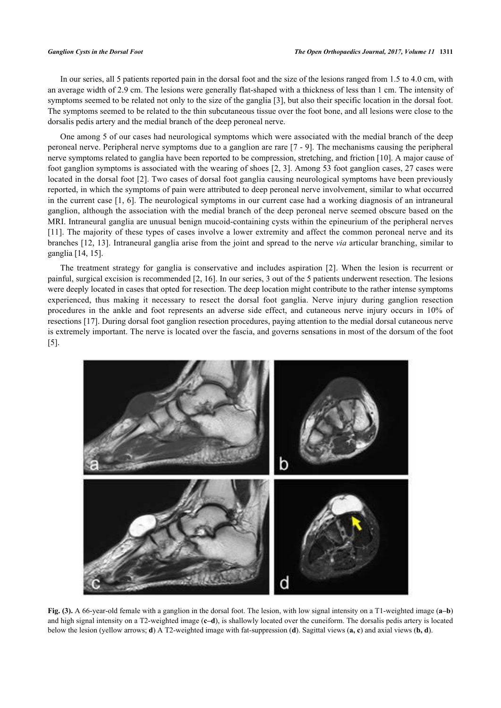In our series, all 5 patients reported pain in the dorsal foot and the size of the lesions ranged from 1.5 to 4.0 cm, with an average width of 2.9 cm. The lesions were generally flat-shaped with a thickness of less than 1 cm. The intensity of symptoms seemed to be related not only to the size of the ganglia [\[3](#page-4-2)], but also their specific location in the dorsal foot. The symptoms seemed to be related to the thin subcutaneous tissue over the foot bone, and all lesions were close to the dorsalis pedis artery and the medial branch of the deep peroneal nerve.

One among 5 of our cases had neurological symptoms which were associated with the medial branch of the deep peroneal nerve. Peripheral nerve symptoms due to a ganglion are rare [[7](#page-4-6) - [9\]](#page-4-7). The mechanisms causing the peripheral nerve symptoms related to ganglia have been reported to be compression, stretching, and friction [\[10](#page-4-8)]. A major cause of foot ganglion symptoms is associated with the wearing of shoes [[2](#page-4-1), [3\]](#page-4-2). Among 53 foot ganglion cases, 27 cases were located in the dorsal foot [\[2](#page-4-1)]. Two cases of dorsal foot ganglia causing neurological symptoms have been previously reported, in which the symptoms of pain were attributed to deep peroneal nerve involvement, similar to what occurred in the current case [[1](#page-4-0), [6](#page-4-5)]. The neurological symptoms in our current case had a working diagnosis of an intraneural ganglion, although the association with the medial branch of the deep peroneal nerve seemed obscure based on the MRI. Intraneural ganglia are unusual benign mucoid-containing cysts within the epineurium of the peripheral nerves [\[11](#page-4-9)]. The majority of these types of cases involve a lower extremity and affect the common peroneal nerve and its branches [[12,](#page-5-0) [13\]](#page-5-1). Intraneural ganglia arise from the joint and spread to the nerve *via* articular branching, similar to ganglia [[14,](#page-5-2) [15\]](#page-5-3).

The treatment strategy for ganglia is conservative and includes aspiration[[2\]](#page-4-1). When the lesion is recurrent or painful, surgical excision is recommended [[2,](#page-4-1) [16\]](#page-5-4). In our series, 3 out of the 5 patients underwent resection. The lesions were deeply located in cases that opted for resection. The deep location might contribute to the rather intense symptoms experienced, thus making it necessary to resect the dorsal foot ganglia. Nerve injury during ganglion resection procedures in the ankle and foot represents an adverse side effect, and cutaneous nerve injury occurs in 10% of resections [[17\]](#page-5-5). During dorsal foot ganglion resection procedures, paying attention to the medial dorsal cutaneous nerve is extremely important. The nerve is located over the fascia, and governs sensations in most of the dorsum of the foot [\[5](#page-4-4)].

<span id="page-3-0"></span>

**Fig. (3).** A 66-year-old female with a ganglion in the dorsal foot. The lesion, with low signal intensity on a T1-weighted image (**a–b**) and high signal intensity on a T2-weighted image (**c–d**), is shallowly located over the cuneiform. The dorsalis pedis artery is located below the lesion (yellow arrows; **d**) A T2-weighted image with fat-suppression (**d**). Sagittal views (**a, c**) and axial views (**b, d**).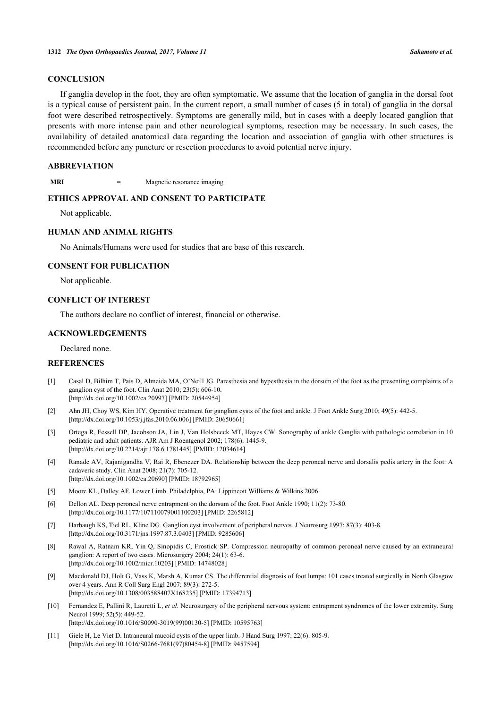## **CONCLUSION**

If ganglia develop in the foot, they are often symptomatic. We assume that the location of ganglia in the dorsal foot is a typical cause of persistent pain. In the current report, a small number of cases (5 in total) of ganglia in the dorsal foot were described retrospectively. Symptoms are generally mild, but in cases with a deeply located ganglion that presents with more intense pain and other neurological symptoms, resection may be necessary. In such cases, the availability of detailed anatomical data regarding the location and association of ganglia with other structures is recommended before any puncture or resection procedures to avoid potential nerve injury.

## **ABBREVIATION**

**MRI** = Magnetic resonance imaging

## **ETHICS APPROVAL AND CONSENT TO PARTICIPATE**

Not applicable.

## **HUMAN AND ANIMAL RIGHTS**

No Animals/Humans were used for studies that are base of this research.

#### **CONSENT FOR PUBLICATION**

Not applicable.

### **CONFLICT OF INTEREST**

The authors declare no conflict of interest, financial or otherwise.

#### **ACKNOWLEDGEMENTS**

Declared none.

### **REFERENCES**

- <span id="page-4-0"></span>[1] Casal D, Bilhim T, Pais D, Almeida MA, O'Neill JG. Paresthesia and hypesthesia in the dorsum of the foot as the presenting complaints of a ganglion cyst of the foot. Clin Anat 2010; 23(5): 606-10. [\[http://dx.doi.org/10.1002/ca.20997\]](http://dx.doi.org/10.1002/ca.20997) [PMID: [20544954](http://www.ncbi.nlm.nih.gov/pubmed/20544954)]
- <span id="page-4-1"></span>[2] Ahn JH, Choy WS, Kim HY. Operative treatment for ganglion cysts of the foot and ankle. J Foot Ankle Surg 2010; 49(5): 442-5. [\[http://dx.doi.org/10.1053/j.jfas.2010.06.006\]](http://dx.doi.org/10.1053/j.jfas.2010.06.006) [PMID: [20650661](http://www.ncbi.nlm.nih.gov/pubmed/20650661)]
- <span id="page-4-2"></span>[3] Ortega R, Fessell DP, Jacobson JA, Lin J, Van Holsbeeck MT, Hayes CW. Sonography of ankle Ganglia with pathologic correlation in 10 pediatric and adult patients. AJR Am J Roentgenol 2002; 178(6): 1445-9. [\[http://dx.doi.org/10.2214/ajr.178.6.1781445](http://dx.doi.org/10.2214/ajr.178.6.1781445)] [PMID: [12034614\]](http://www.ncbi.nlm.nih.gov/pubmed/12034614)
- <span id="page-4-3"></span>[4] Ranade AV, Rajanigandha V, Rai R, Ebenezer DA. Relationship between the deep peroneal nerve and dorsalis pedis artery in the foot: A cadaveric study. Clin Anat 2008; 21(7): 705-12. [\[http://dx.doi.org/10.1002/ca.20690\]](http://dx.doi.org/10.1002/ca.20690) [PMID: [18792965](http://www.ncbi.nlm.nih.gov/pubmed/18792965)]
- <span id="page-4-4"></span>[5] Moore KL, Dalley AF. Lower Limb. Philadelphia, PA: Lippincott Williams & Wilkins 2006.
- <span id="page-4-5"></span>[6] Dellon AL. Deep peroneal nerve entrapment on the dorsum of the foot. Foot Ankle 1990; 11(2): 73-80. [\[http://dx.doi.org/10.1177/107110079001100203\]](http://dx.doi.org/10.1177/107110079001100203) [PMID: [2265812](http://www.ncbi.nlm.nih.gov/pubmed/2265812)]
- <span id="page-4-6"></span>[7] Harbaugh KS, Tiel RL, Kline DG. Ganglion cyst involvement of peripheral nerves. J Neurosurg 1997; 87(3): 403-8. [\[http://dx.doi.org/10.3171/jns.1997.87.3.0403](http://dx.doi.org/10.3171/jns.1997.87.3.0403)] [PMID: [9285606\]](http://www.ncbi.nlm.nih.gov/pubmed/9285606)
- [8] Rawal A, Ratnam KR, Yin Q, Sinopidis C, Frostick SP. Compression neuropathy of common peroneal nerve caused by an extraneural ganglion: A report of two cases. Microsurgery 2004; 24(1): 63-6. [\[http://dx.doi.org/10.1002/micr.10203](http://dx.doi.org/10.1002/micr.10203)] [PMID: [14748028](http://www.ncbi.nlm.nih.gov/pubmed/14748028)]
- <span id="page-4-7"></span>[9] Macdonald DJ, Holt G, Vass K, Marsh A, Kumar CS. The differential diagnosis of foot lumps: 101 cases treated surgically in North Glasgow over 4 years. Ann R Coll Surg Engl 2007; 89(3): 272-5. [\[http://dx.doi.org/10.1308/003588407X168235\]](http://dx.doi.org/10.1308/003588407X168235) [PMID: [17394713](http://www.ncbi.nlm.nih.gov/pubmed/17394713)]
- <span id="page-4-8"></span>[10] Fernandez E, Pallini R, Lauretti L, *et al.* Neurosurgery of the peripheral nervous system: entrapment syndromes of the lower extremity. Surg Neurol 1999; 52(5): 449-52. [\[http://dx.doi.org/10.1016/S0090-3019\(99\)00130-5\]](http://dx.doi.org/10.1016/S0090-3019(99)00130-5) [PMID: [10595763](http://www.ncbi.nlm.nih.gov/pubmed/10595763)]
- <span id="page-4-9"></span>[11] Giele H, Le Viet D. Intraneural mucoid cysts of the upper limb. J Hand Surg 1997; 22(6): 805-9. [\[http://dx.doi.org/10.1016/S0266-7681\(97\)80454-8\]](http://dx.doi.org/10.1016/S0266-7681(97)80454-8) [PMID: [9457594](http://www.ncbi.nlm.nih.gov/pubmed/9457594)]